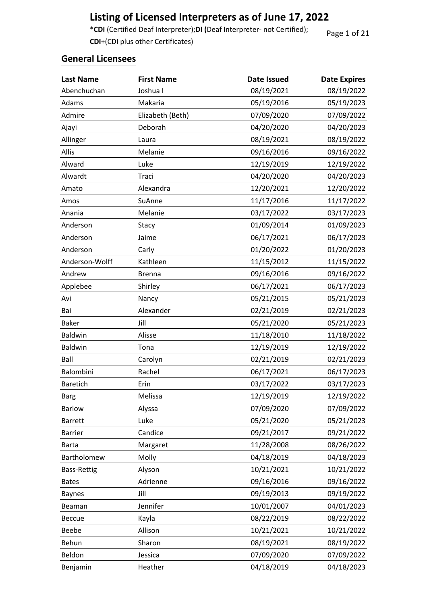# **Listing of Licensed Interpreters as of June 17, 2022**

\***CDI** (Certified Deaf Interpreter);**DI (**Deaf Interpreter- not Certified); **CDI**+(CDI plus other Certificates)

Page 1 of 21

| <b>Last Name</b>   | <b>First Name</b> | Date Issued | <b>Date Expires</b> |
|--------------------|-------------------|-------------|---------------------|
| Abenchuchan        | Joshua I          | 08/19/2021  | 08/19/2022          |
| Adams              | Makaria           | 05/19/2016  | 05/19/2023          |
| Admire             | Elizabeth (Beth)  | 07/09/2020  | 07/09/2022          |
| Ajayi              | Deborah           | 04/20/2020  | 04/20/2023          |
| Allinger           | Laura             | 08/19/2021  | 08/19/2022          |
| Allis              | Melanie           | 09/16/2016  | 09/16/2022          |
| Alward             | Luke              | 12/19/2019  | 12/19/2022          |
| Alwardt            | Traci             | 04/20/2020  | 04/20/2023          |
| Amato              | Alexandra         | 12/20/2021  | 12/20/2022          |
| Amos               | SuAnne            | 11/17/2016  | 11/17/2022          |
| Anania             | Melanie           | 03/17/2022  | 03/17/2023          |
| Anderson           | Stacy             | 01/09/2014  | 01/09/2023          |
| Anderson           | Jaime             | 06/17/2021  | 06/17/2023          |
| Anderson           | Carly             | 01/20/2022  | 01/20/2023          |
| Anderson-Wolff     | Kathleen          | 11/15/2012  | 11/15/2022          |
| Andrew             | <b>Brenna</b>     | 09/16/2016  | 09/16/2022          |
| Applebee           | Shirley           | 06/17/2021  | 06/17/2023          |
| Avi                | Nancy             | 05/21/2015  | 05/21/2023          |
| Bai                | Alexander         | 02/21/2019  | 02/21/2023          |
| <b>Baker</b>       | Jill              | 05/21/2020  | 05/21/2023          |
| Baldwin            | Alisse            | 11/18/2010  | 11/18/2022          |
| Baldwin            | Tona              | 12/19/2019  | 12/19/2022          |
| Ball               | Carolyn           | 02/21/2019  | 02/21/2023          |
| Balombini          | Rachel            | 06/17/2021  | 06/17/2023          |
| Baretich           | Erin              | 03/17/2022  | 03/17/2023          |
| <b>Barg</b>        | Melissa           | 12/19/2019  | 12/19/2022          |
| <b>Barlow</b>      | Alyssa            | 07/09/2020  | 07/09/2022          |
| <b>Barrett</b>     | Luke              | 05/21/2020  | 05/21/2023          |
| <b>Barrier</b>     | Candice           | 09/21/2017  | 09/21/2022          |
| <b>Barta</b>       | Margaret          | 11/28/2008  | 08/26/2022          |
| Bartholomew        | Molly             | 04/18/2019  | 04/18/2023          |
| <b>Bass-Rettig</b> | Alyson            | 10/21/2021  | 10/21/2022          |
| <b>Bates</b>       | Adrienne          | 09/16/2016  | 09/16/2022          |
| <b>Baynes</b>      | Jill              | 09/19/2013  | 09/19/2022          |
| Beaman             | Jennifer          | 10/01/2007  | 04/01/2023          |
| <b>Beccue</b>      | Kayla             | 08/22/2019  | 08/22/2022          |
| Beebe              | Allison           | 10/21/2021  | 10/21/2022          |
| Behun              | Sharon            | 08/19/2021  | 08/19/2022          |
| Beldon             | Jessica           | 07/09/2020  | 07/09/2022          |
| Benjamin           | Heather           | 04/18/2019  | 04/18/2023          |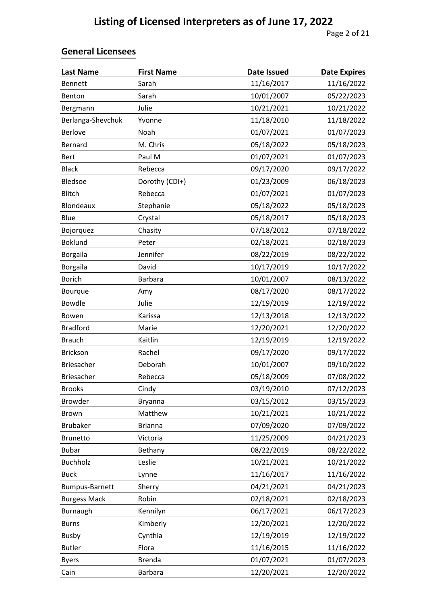| <b>Last Name</b>    | <b>First Name</b> | <b>Date Issued</b> | <b>Date Expires</b> |
|---------------------|-------------------|--------------------|---------------------|
| <b>Bennett</b>      | Sarah             | 11/16/2017         | 11/16/2022          |
| Benton              | Sarah             | 10/01/2007         | 05/22/2023          |
| Bergmann            | Julie             | 10/21/2021         | 10/21/2022          |
| Berlanga-Shevchuk   | Yvonne            | 11/18/2010         | 11/18/2022          |
| Berlove             | Noah              | 01/07/2021         | 01/07/2023          |
| Bernard             | M. Chris          | 05/18/2022         | 05/18/2023          |
| <b>Bert</b>         | Paul M            | 01/07/2021         | 01/07/2023          |
| <b>Black</b>        | Rebecca           | 09/17/2020         | 09/17/2022          |
| Bledsoe             | Dorothy (CDI+)    | 01/23/2009         | 06/18/2023          |
| Blitch              | Rebecca           | 01/07/2021         | 01/07/2023          |
| Blondeaux           | Stephanie         | 05/18/2022         | 05/18/2023          |
| Blue                | Crystal           | 05/18/2017         | 05/18/2023          |
| Bojorquez           | Chasity           | 07/18/2012         | 07/18/2022          |
| <b>Boklund</b>      | Peter             | 02/18/2021         | 02/18/2023          |
| Borgaila            | Jennifer          | 08/22/2019         | 08/22/2022          |
| Borgaila            | David             | 10/17/2019         | 10/17/2022          |
| <b>Borich</b>       | <b>Barbara</b>    | 10/01/2007         | 08/13/2022          |
| Bourque             | Amy               | 08/17/2020         | 08/17/2022          |
| Bowdle              | Julie             | 12/19/2019         | 12/19/2022          |
| Bowen               | Karissa           | 12/13/2018         | 12/13/2022          |
| <b>Bradford</b>     | Marie             | 12/20/2021         | 12/20/2022          |
| <b>Brauch</b>       | Kaitlin           | 12/19/2019         | 12/19/2022          |
| Brickson            | Rachel            | 09/17/2020         | 09/17/2022          |
| <b>Briesacher</b>   | Deborah           | 10/01/2007         | 09/10/2022          |
| <b>Briesacher</b>   | Rebecca           | 05/18/2009         | 07/08/2022          |
| <b>Brooks</b>       | Cindy             | 03/19/2010         | 07/12/2023          |
| <b>Browder</b>      | Bryanna           | 03/15/2012         | 03/15/2023          |
| <b>Brown</b>        | Matthew           | 10/21/2021         | 10/21/2022          |
| <b>Brubaker</b>     | <b>Brianna</b>    | 07/09/2020         | 07/09/2022          |
| <b>Brunetto</b>     | Victoria          | 11/25/2009         | 04/21/2023          |
| <b>Bubar</b>        | Bethany           | 08/22/2019         | 08/22/2022          |
| <b>Buchholz</b>     | Leslie            | 10/21/2021         | 10/21/2022          |
| <b>Buck</b>         | Lynne             | 11/16/2017         | 11/16/2022          |
| Bumpus-Barnett      | Sherry            | 04/21/2021         | 04/21/2023          |
| <b>Burgess Mack</b> | Robin             | 02/18/2021         | 02/18/2023          |
| Burnaugh            | Kennilyn          | 06/17/2021         | 06/17/2023          |
| <b>Burns</b>        | Kimberly          | 12/20/2021         | 12/20/2022          |
| <b>Busby</b>        | Cynthia           | 12/19/2019         | 12/19/2022          |
| <b>Butler</b>       | Flora             | 11/16/2015         | 11/16/2022          |
| <b>Byers</b>        | <b>Brenda</b>     | 01/07/2021         | 01/07/2023          |
| Cain                | <b>Barbara</b>    | 12/20/2021         | 12/20/2022          |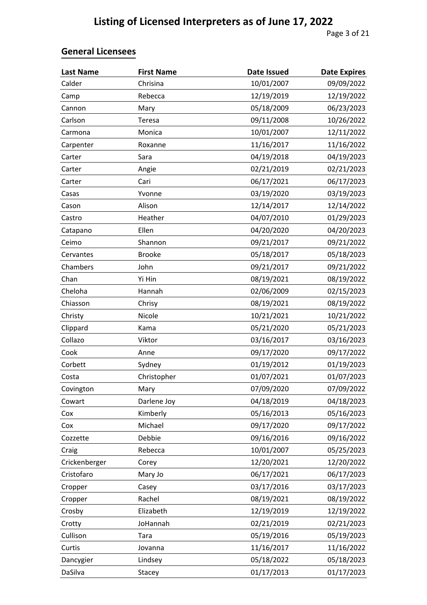| <b>Last Name</b> | <b>First Name</b> | <b>Date Issued</b> | <b>Date Expires</b> |
|------------------|-------------------|--------------------|---------------------|
| Calder           | Chrisina          | 10/01/2007         | 09/09/2022          |
| Camp             | Rebecca           | 12/19/2019         | 12/19/2022          |
| Cannon           | Mary              | 05/18/2009         | 06/23/2023          |
| Carlson          | Teresa            | 09/11/2008         | 10/26/2022          |
| Carmona          | Monica            | 10/01/2007         | 12/11/2022          |
| Carpenter        | Roxanne           | 11/16/2017         | 11/16/2022          |
| Carter           | Sara              | 04/19/2018         | 04/19/2023          |
| Carter           | Angie             | 02/21/2019         | 02/21/2023          |
| Carter           | Cari              | 06/17/2021         | 06/17/2023          |
| Casas            | Yvonne            | 03/19/2020         | 03/19/2023          |
| Cason            | Alison            | 12/14/2017         | 12/14/2022          |
| Castro           | Heather           | 04/07/2010         | 01/29/2023          |
| Catapano         | Ellen             | 04/20/2020         | 04/20/2023          |
| Ceimo            | Shannon           | 09/21/2017         | 09/21/2022          |
| Cervantes        | <b>Brooke</b>     | 05/18/2017         | 05/18/2023          |
| Chambers         | John              | 09/21/2017         | 09/21/2022          |
| Chan             | Yi Hin            | 08/19/2021         | 08/19/2022          |
| Cheloha          | Hannah            | 02/06/2009         | 02/15/2023          |
| Chiasson         | Chrisy            | 08/19/2021         | 08/19/2022          |
| Christy          | Nicole            | 10/21/2021         | 10/21/2022          |
| Clippard         | Kama              | 05/21/2020         | 05/21/2023          |
| Collazo          | Viktor            | 03/16/2017         | 03/16/2023          |
| Cook             | Anne              | 09/17/2020         | 09/17/2022          |
| Corbett          | Sydney            | 01/19/2012         | 01/19/2023          |
| Costa            | Christopher       | 01/07/2021         | 01/07/2023          |
| Covington        | Mary              | 07/09/2020         | 07/09/2022          |
| Cowart           | Darlene Joy       | 04/18/2019         | 04/18/2023          |
| Cox              | Kimberly          | 05/16/2013         | 05/16/2023          |
| Cox              | Michael           | 09/17/2020         | 09/17/2022          |
| Cozzette         | Debbie            | 09/16/2016         | 09/16/2022          |
| Craig            | Rebecca           | 10/01/2007         | 05/25/2023          |
| Crickenberger    | Corey             | 12/20/2021         | 12/20/2022          |
| Cristofaro       | Mary Jo           | 06/17/2021         | 06/17/2023          |
| Cropper          | Casey             | 03/17/2016         | 03/17/2023          |
| Cropper          | Rachel            | 08/19/2021         | 08/19/2022          |
| Crosby           | Elizabeth         | 12/19/2019         | 12/19/2022          |
| Crotty           | JoHannah          | 02/21/2019         | 02/21/2023          |
| Cullison         | Tara              | 05/19/2016         | 05/19/2023          |
| Curtis           | Jovanna           | 11/16/2017         | 11/16/2022          |
| Dancygier        | Lindsey           | 05/18/2022         | 05/18/2023          |
| DaSilva          | Stacey            | 01/17/2013         | 01/17/2023          |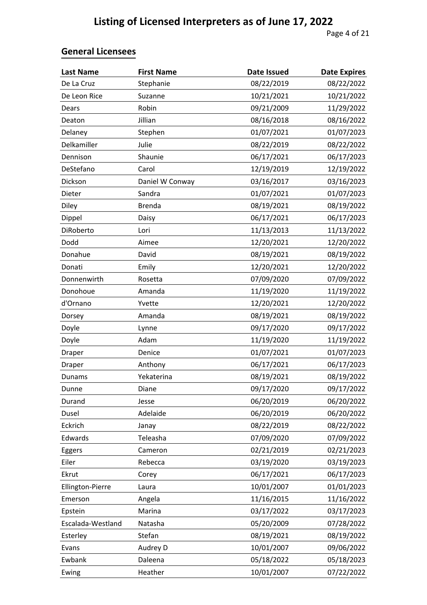| <b>Last Name</b>  | <b>First Name</b> | Date Issued | <b>Date Expires</b> |
|-------------------|-------------------|-------------|---------------------|
| De La Cruz        | Stephanie         | 08/22/2019  | 08/22/2022          |
| De Leon Rice      | Suzanne           | 10/21/2021  | 10/21/2022          |
| Dears             | Robin             | 09/21/2009  | 11/29/2022          |
| Deaton            | Jillian           | 08/16/2018  | 08/16/2022          |
| Delaney           | Stephen           | 01/07/2021  | 01/07/2023          |
| Delkamiller       | Julie             | 08/22/2019  | 08/22/2022          |
| Dennison          | Shaunie           | 06/17/2021  | 06/17/2023          |
| DeStefano         | Carol             | 12/19/2019  | 12/19/2022          |
| Dickson           | Daniel W Conway   | 03/16/2017  | 03/16/2023          |
| Dieter            | Sandra            | 01/07/2021  | 01/07/2023          |
| Diley             | <b>Brenda</b>     | 08/19/2021  | 08/19/2022          |
| Dippel            | Daisy             | 06/17/2021  | 06/17/2023          |
| DiRoberto         | Lori              | 11/13/2013  | 11/13/2022          |
| Dodd              | Aimee             | 12/20/2021  | 12/20/2022          |
| Donahue           | David             | 08/19/2021  | 08/19/2022          |
| Donati            | Emily             | 12/20/2021  | 12/20/2022          |
| Donnenwirth       | Rosetta           | 07/09/2020  | 07/09/2022          |
| Donohoue          | Amanda            | 11/19/2020  | 11/19/2022          |
| d'Ornano          | Yvette            | 12/20/2021  | 12/20/2022          |
| Dorsey            | Amanda            | 08/19/2021  | 08/19/2022          |
| Doyle             | Lynne             | 09/17/2020  | 09/17/2022          |
| Doyle             | Adam              | 11/19/2020  | 11/19/2022          |
| Draper            | Denice            | 01/07/2021  | 01/07/2023          |
| Draper            | Anthony           | 06/17/2021  | 06/17/2023          |
| Dunams            | Yekaterina        | 08/19/2021  | 08/19/2022          |
| Dunne             | Diane             | 09/17/2020  | 09/17/2022          |
| Durand            | Jesse             | 06/20/2019  | 06/20/2022          |
| Dusel             | Adelaide          | 06/20/2019  | 06/20/2022          |
| Eckrich           | Janay             | 08/22/2019  | 08/22/2022          |
| Edwards           | Teleasha          | 07/09/2020  | 07/09/2022          |
| Eggers            | Cameron           | 02/21/2019  | 02/21/2023          |
| Eiler             | Rebecca           | 03/19/2020  | 03/19/2023          |
| Ekrut             | Corey             | 06/17/2021  | 06/17/2023          |
| Ellington-Pierre  | Laura             | 10/01/2007  | 01/01/2023          |
| Emerson           | Angela            | 11/16/2015  | 11/16/2022          |
| Epstein           | Marina            | 03/17/2022  | 03/17/2023          |
| Escalada-Westland | Natasha           | 05/20/2009  | 07/28/2022          |
| Esterley          | Stefan            | 08/19/2021  | 08/19/2022          |
| Evans             | Audrey D          | 10/01/2007  | 09/06/2022          |
| Ewbank            | Daleena           | 05/18/2022  | 05/18/2023          |
| Ewing             | Heather           | 10/01/2007  | 07/22/2022          |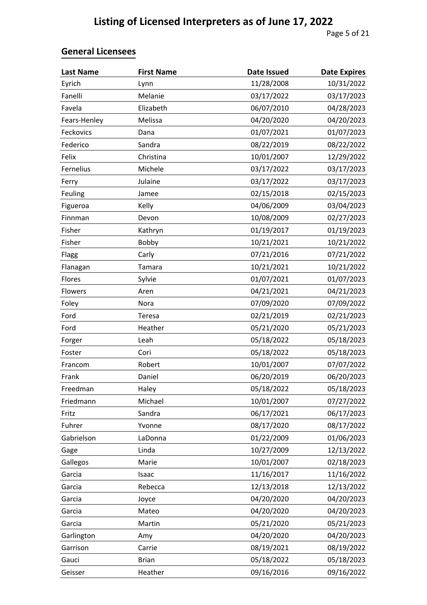| <b>Last Name</b> | <b>First Name</b> | <b>Date Issued</b> | <b>Date Expires</b> |
|------------------|-------------------|--------------------|---------------------|
| Eyrich           | Lynn              | 11/28/2008         | 10/31/2022          |
| Fanelli          | Melanie           | 03/17/2022         | 03/17/2023          |
| Favela           | Elizabeth         | 06/07/2010         | 04/28/2023          |
| Fears-Henley     | Melissa           | 04/20/2020         | 04/20/2023          |
| Feckovics        | Dana              | 01/07/2021         | 01/07/2023          |
| Federico         | Sandra            | 08/22/2019         | 08/22/2022          |
| Felix            | Christina         | 10/01/2007         | 12/29/2022          |
| Fernelius        | Michele           | 03/17/2022         | 03/17/2023          |
| Ferry            | Julaine           | 03/17/2022         | 03/17/2023          |
| Feuling          | Jamee             | 02/15/2018         | 02/15/2023          |
| Figueroa         | Kelly             | 04/06/2009         | 03/04/2023          |
| Finnman          | Devon             | 10/08/2009         | 02/27/2023          |
| Fisher           | Kathryn           | 01/19/2017         | 01/19/2023          |
| Fisher           | Bobby             | 10/21/2021         | 10/21/2022          |
| Flagg            | Carly             | 07/21/2016         | 07/21/2022          |
| Flanagan         | Tamara            | 10/21/2021         | 10/21/2022          |
| Flores           | Sylvie            | 01/07/2021         | 01/07/2023          |
| Flowers          | Aren              | 04/21/2021         | 04/21/2023          |
| Foley            | Nora              | 07/09/2020         | 07/09/2022          |
| Ford             | Teresa            | 02/21/2019         | 02/21/2023          |
| Ford             | Heather           | 05/21/2020         | 05/21/2023          |
| Forger           | Leah              | 05/18/2022         | 05/18/2023          |
| Foster           | Cori              | 05/18/2022         | 05/18/2023          |
| Francom          | Robert            | 10/01/2007         | 07/07/2022          |
| Frank            | Daniel            | 06/20/2019         | 06/20/2023          |
| Freedman         | Haley             | 05/18/2022         | 05/18/2023          |
| Friedmann        | Michael           | 10/01/2007         | 07/27/2022          |
| Fritz            | Sandra            | 06/17/2021         | 06/17/2023          |
| Fuhrer           | Yvonne            | 08/17/2020         | 08/17/2022          |
| Gabrielson       | LaDonna           | 01/22/2009         | 01/06/2023          |
| Gage             | Linda             | 10/27/2009         | 12/13/2022          |
| Gallegos         | Marie             | 10/01/2007         | 02/18/2023          |
| Garcia           | Isaac             | 11/16/2017         | 11/16/2022          |
| Garcia           | Rebecca           | 12/13/2018         | 12/13/2022          |
| Garcia           | Joyce             | 04/20/2020         | 04/20/2023          |
| Garcia           | Mateo             | 04/20/2020         | 04/20/2023          |
| Garcia           | Martin            | 05/21/2020         | 05/21/2023          |
| Garlington       | Amy               | 04/20/2020         | 04/20/2023          |
| Garrison         | Carrie            | 08/19/2021         | 08/19/2022          |
| Gauci            | <b>Brian</b>      | 05/18/2022         | 05/18/2023          |
| Geisser          | Heather           | 09/16/2016         | 09/16/2022          |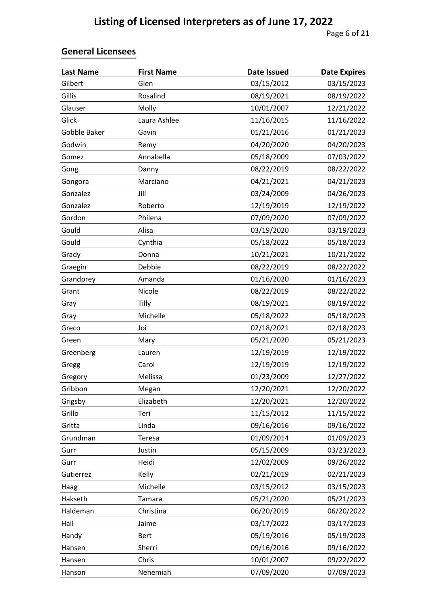| <b>Last Name</b> | <b>First Name</b> | <b>Date Issued</b> | <b>Date Expires</b> |
|------------------|-------------------|--------------------|---------------------|
| Gilbert          | Glen              | 03/15/2012         | 03/15/2023          |
| Gillis           | Rosalind          | 08/19/2021         | 08/19/2022          |
| Glauser          | Molly             | 10/01/2007         | 12/21/2022          |
| Glick            | Laura Ashlee      | 11/16/2015         | 11/16/2022          |
| Gobble Baker     | Gavin             | 01/21/2016         | 01/21/2023          |
| Godwin           | Remy              | 04/20/2020         | 04/20/2023          |
| Gomez            | Annabella         | 05/18/2009         | 07/03/2022          |
| Gong             | Danny             | 08/22/2019         | 08/22/2022          |
| Gongora          | Marciano          | 04/21/2021         | 04/21/2023          |
| Gonzalez         | Jill              | 03/24/2009         | 04/26/2023          |
| Gonzalez         | Roberto           | 12/19/2019         | 12/19/2022          |
| Gordon           | Philena           | 07/09/2020         | 07/09/2022          |
| Gould            | Alisa             | 03/19/2020         | 03/19/2023          |
| Gould            | Cynthia           | 05/18/2022         | 05/18/2023          |
| Grady            | Donna             | 10/21/2021         | 10/21/2022          |
| Graegin          | Debbie            | 08/22/2019         | 08/22/2022          |
| Grandprey        | Amanda            | 01/16/2020         | 01/16/2023          |
| Grant            | Nicole            | 08/22/2019         | 08/22/2022          |
| Gray             | Tilly             | 08/19/2021         | 08/19/2022          |
| Gray             | Michelle          | 05/18/2022         | 05/18/2023          |
| Greco            | Joi               | 02/18/2021         | 02/18/2023          |
| Green            | Mary              | 05/21/2020         | 05/21/2023          |
| Greenberg        | Lauren            | 12/19/2019         | 12/19/2022          |
| Gregg            | Carol             | 12/19/2019         | 12/19/2022          |
| Gregory          | Melissa           | 01/23/2009         | 12/27/2022          |
| Gribbon          | Megan             | 12/20/2021         | 12/20/2022          |
| Grigsby          | Elizabeth         | 12/20/2021         | 12/20/2022          |
| Grillo           | Teri              | 11/15/2012         | 11/15/2022          |
| Gritta           | Linda             | 09/16/2016         | 09/16/2022          |
| Grundman         | Teresa            | 01/09/2014         | 01/09/2023          |
| Gurr             | Justin            | 05/15/2009         | 03/23/2023          |
| Gurr             | Heidi             | 12/02/2009         | 09/26/2022          |
| Gutierrez        | Kelly             | 02/21/2019         | 02/21/2023          |
| Haag             | Michelle          | 03/15/2012         | 03/15/2023          |
| Hakseth          | Tamara            | 05/21/2020         | 05/21/2023          |
| Haldeman         | Christina         | 06/20/2019         | 06/20/2022          |
| Hall             | Jaime             | 03/17/2022         | 03/17/2023          |
| Handy            | <b>Bert</b>       | 05/19/2016         | 05/19/2023          |
| Hansen           | Sherri            | 09/16/2016         | 09/16/2022          |
| Hansen           | Chris             | 10/01/2007         | 09/22/2022          |
| Hanson           | Nehemiah          | 07/09/2020         | 07/09/2023          |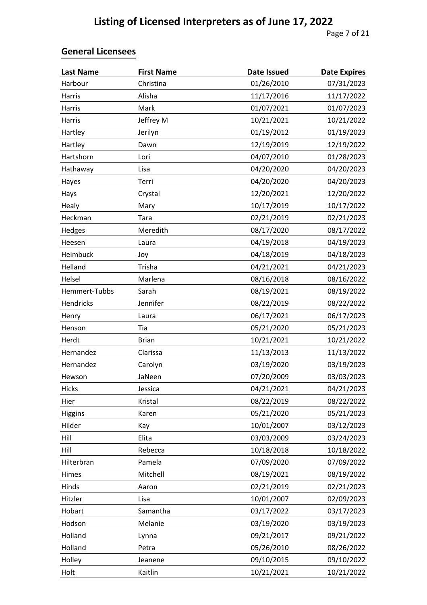| <b>Last Name</b> | <b>First Name</b> | <b>Date Issued</b> | <b>Date Expires</b> |
|------------------|-------------------|--------------------|---------------------|
| Harbour          | Christina         | 01/26/2010         | 07/31/2023          |
| Harris           | Alisha            | 11/17/2016         | 11/17/2022          |
| Harris           | Mark              | 01/07/2021         | 01/07/2023          |
| Harris           | Jeffrey M         | 10/21/2021         | 10/21/2022          |
| Hartley          | Jerilyn           | 01/19/2012         | 01/19/2023          |
| Hartley          | Dawn              | 12/19/2019         | 12/19/2022          |
| Hartshorn        | Lori              | 04/07/2010         | 01/28/2023          |
| Hathaway         | Lisa              | 04/20/2020         | 04/20/2023          |
| Hayes            | Terri             | 04/20/2020         | 04/20/2023          |
| Hays             | Crystal           | 12/20/2021         | 12/20/2022          |
| Healy            | Mary              | 10/17/2019         | 10/17/2022          |
| Heckman          | Tara              | 02/21/2019         | 02/21/2023          |
| Hedges           | Meredith          | 08/17/2020         | 08/17/2022          |
| Heesen           | Laura             | 04/19/2018         | 04/19/2023          |
| Heimbuck         | Joy               | 04/18/2019         | 04/18/2023          |
| Helland          | Trisha            | 04/21/2021         | 04/21/2023          |
| Helsel           | Marlena           | 08/16/2018         | 08/16/2022          |
| Hemmert-Tubbs    | Sarah             | 08/19/2021         | 08/19/2022          |
| Hendricks        | Jennifer          | 08/22/2019         | 08/22/2022          |
| Henry            | Laura             | 06/17/2021         | 06/17/2023          |
| Henson           | Tia               | 05/21/2020         | 05/21/2023          |
| Herdt            | <b>Brian</b>      | 10/21/2021         | 10/21/2022          |
| Hernandez        | Clarissa          | 11/13/2013         | 11/13/2022          |
| Hernandez        | Carolyn           | 03/19/2020         | 03/19/2023          |
| Hewson           | JaNeen            | 07/20/2009         | 03/03/2023          |
| Hicks            | Jessica           | 04/21/2021         | 04/21/2023          |
| Hier             | Kristal           | 08/22/2019         | 08/22/2022          |
| Higgins          | Karen             | 05/21/2020         | 05/21/2023          |
| Hilder           | Kay               | 10/01/2007         | 03/12/2023          |
| Hill             | Elita             | 03/03/2009         | 03/24/2023          |
| Hill             | Rebecca           | 10/18/2018         | 10/18/2022          |
| Hilterbran       | Pamela            | 07/09/2020         | 07/09/2022          |
| Himes            | Mitchell          | 08/19/2021         | 08/19/2022          |
| Hinds            | Aaron             | 02/21/2019         | 02/21/2023          |
| Hitzler          | Lisa              | 10/01/2007         | 02/09/2023          |
| Hobart           | Samantha          | 03/17/2022         | 03/17/2023          |
| Hodson           | Melanie           | 03/19/2020         | 03/19/2023          |
| Holland          | Lynna             | 09/21/2017         | 09/21/2022          |
| Holland          | Petra             | 05/26/2010         | 08/26/2022          |
| Holley           | Jeanene           | 09/10/2015         | 09/10/2022          |
| Holt             | Kaitlin           | 10/21/2021         | 10/21/2022          |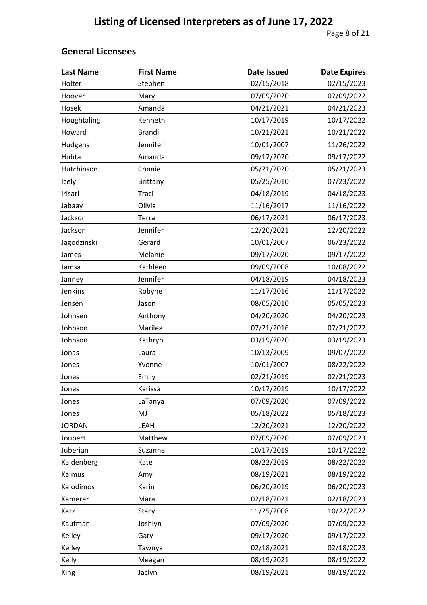| <b>Last Name</b> | <b>First Name</b> | <b>Date Issued</b> | <b>Date Expires</b> |
|------------------|-------------------|--------------------|---------------------|
| Holter           | Stephen           | 02/15/2018         | 02/15/2023          |
| Hoover           | Mary              | 07/09/2020         | 07/09/2022          |
| Hosek            | Amanda            | 04/21/2021         | 04/21/2023          |
| Houghtaling      | Kenneth           | 10/17/2019         | 10/17/2022          |
| Howard           | <b>Brandi</b>     | 10/21/2021         | 10/21/2022          |
| Hudgens          | Jennifer          | 10/01/2007         | 11/26/2022          |
| Huhta            | Amanda            | 09/17/2020         | 09/17/2022          |
| Hutchinson       | Connie            | 05/21/2020         | 05/21/2023          |
| Icely            | <b>Brittany</b>   | 05/25/2010         | 07/23/2022          |
| Irisari          | Traci             | 04/18/2019         | 04/18/2023          |
| Jabaay           | Olivia            | 11/16/2017         | 11/16/2022          |
| Jackson          | Terra             | 06/17/2021         | 06/17/2023          |
| Jackson          | Jennifer          | 12/20/2021         | 12/20/2022          |
| Jagodzinski      | Gerard            | 10/01/2007         | 06/23/2022          |
| James            | Melanie           | 09/17/2020         | 09/17/2022          |
| Jamsa            | Kathleen          | 09/09/2008         | 10/08/2022          |
| Janney           | Jennifer          | 04/18/2019         | 04/18/2023          |
| Jenkins          | Robyne            | 11/17/2016         | 11/17/2022          |
| Jensen           | Jason             | 08/05/2010         | 05/05/2023          |
| Johnsen          | Anthony           | 04/20/2020         | 04/20/2023          |
| Johnson          | Marilea           | 07/21/2016         | 07/21/2022          |
| Johnson          | Kathryn           | 03/19/2020         | 03/19/2023          |
| Jonas            | Laura             | 10/13/2009         | 09/07/2022          |
| Jones            | Yvonne            | 10/01/2007         | 08/22/2022          |
| Jones            | Emily             | 02/21/2019         | 02/21/2023          |
| Jones            | Karissa           | 10/17/2019         | 10/17/2022          |
| Jones            | LaTanya           | 07/09/2020         | 07/09/2022          |
| Jones            | MJ                | 05/18/2022         | 05/18/2023          |
| <b>JORDAN</b>    | LEAH              | 12/20/2021         | 12/20/2022          |
| Joubert          | Matthew           | 07/09/2020         | 07/09/2023          |
| Juberian         | Suzanne           | 10/17/2019         | 10/17/2022          |
| Kaldenberg       | Kate              | 08/22/2019         | 08/22/2022          |
| Kalmus           | Amy               | 08/19/2021         | 08/19/2022          |
| Kalodimos        | Karin             | 06/20/2019         | 06/20/2023          |
| Kamerer          | Mara              | 02/18/2021         | 02/18/2023          |
| Katz             | Stacy             | 11/25/2008         | 10/22/2022          |
| Kaufman          | Joshlyn           | 07/09/2020         | 07/09/2022          |
| Kelley           | Gary              | 09/17/2020         | 09/17/2022          |
| Kelley           | Tawnya            | 02/18/2021         | 02/18/2023          |
| Kelly            | Meagan            | 08/19/2021         | 08/19/2022          |
| King             | Jaclyn            | 08/19/2021         | 08/19/2022          |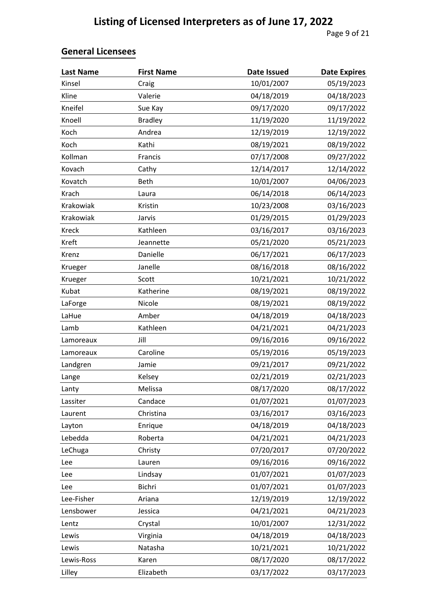| <b>Last Name</b> | <b>First Name</b> | <b>Date Issued</b> | <b>Date Expires</b> |
|------------------|-------------------|--------------------|---------------------|
| Kinsel           | Craig             | 10/01/2007         | 05/19/2023          |
| Kline            | Valerie           | 04/18/2019         | 04/18/2023          |
| Kneifel          | Sue Kay           | 09/17/2020         | 09/17/2022          |
| Knoell           | <b>Bradley</b>    | 11/19/2020         | 11/19/2022          |
| Koch             | Andrea            | 12/19/2019         | 12/19/2022          |
| Koch             | Kathi             | 08/19/2021         | 08/19/2022          |
| Kollman          | Francis           | 07/17/2008         | 09/27/2022          |
| Kovach           | Cathy             | 12/14/2017         | 12/14/2022          |
| Kovatch          | <b>Beth</b>       | 10/01/2007         | 04/06/2023          |
| Krach            | Laura             | 06/14/2018         | 06/14/2023          |
| Krakowiak        | Kristin           | 10/23/2008         | 03/16/2023          |
| Krakowiak        | Jarvis            | 01/29/2015         | 01/29/2023          |
| Kreck            | Kathleen          | 03/16/2017         | 03/16/2023          |
| Kreft            | Jeannette         | 05/21/2020         | 05/21/2023          |
| Krenz            | Danielle          | 06/17/2021         | 06/17/2023          |
| Krueger          | Janelle           | 08/16/2018         | 08/16/2022          |
| Krueger          | Scott             | 10/21/2021         | 10/21/2022          |
| Kubat            | Katherine         | 08/19/2021         | 08/19/2022          |
| LaForge          | Nicole            | 08/19/2021         | 08/19/2022          |
| LaHue            | Amber             | 04/18/2019         | 04/18/2023          |
| Lamb             | Kathleen          | 04/21/2021         | 04/21/2023          |
| Lamoreaux        | Jill              | 09/16/2016         | 09/16/2022          |
| Lamoreaux        | Caroline          | 05/19/2016         | 05/19/2023          |
| Landgren         | Jamie             | 09/21/2017         | 09/21/2022          |
| Lange            | Kelsey            | 02/21/2019         | 02/21/2023          |
| Lanty            | Melissa           | 08/17/2020         | 08/17/2022          |
| Lassiter         | Candace           | 01/07/2021         | 01/07/2023          |
| Laurent          | Christina         | 03/16/2017         | 03/16/2023          |
| Layton           | Enrique           | 04/18/2019         | 04/18/2023          |
| Lebedda          | Roberta           | 04/21/2021         | 04/21/2023          |
| LeChuga          | Christy           | 07/20/2017         | 07/20/2022          |
| Lee              | Lauren            | 09/16/2016         | 09/16/2022          |
| Lee              | Lindsay           | 01/07/2021         | 01/07/2023          |
| Lee              | Bichri            | 01/07/2021         | 01/07/2023          |
| Lee-Fisher       | Ariana            | 12/19/2019         | 12/19/2022          |
| Lensbower        | Jessica           | 04/21/2021         | 04/21/2023          |
| Lentz            | Crystal           | 10/01/2007         | 12/31/2022          |
| Lewis            | Virginia          | 04/18/2019         | 04/18/2023          |
| Lewis            | Natasha           | 10/21/2021         | 10/21/2022          |
| Lewis-Ross       | Karen             | 08/17/2020         | 08/17/2022          |
| Lilley           | Elizabeth         | 03/17/2022         | 03/17/2023          |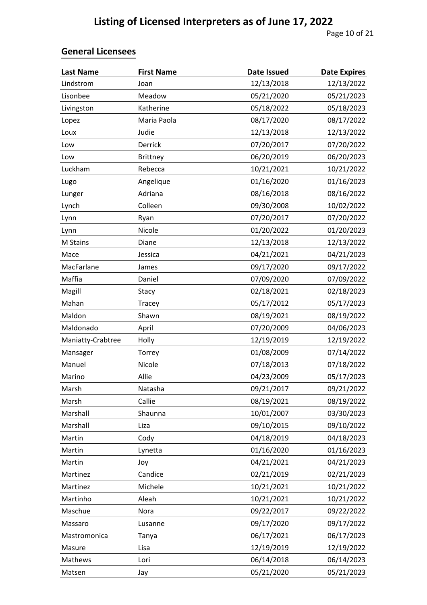| <b>Last Name</b>  | <b>First Name</b> | <b>Date Issued</b> | <b>Date Expires</b> |
|-------------------|-------------------|--------------------|---------------------|
| Lindstrom         | Joan              | 12/13/2018         | 12/13/2022          |
| Lisonbee          | Meadow            | 05/21/2020         | 05/21/2023          |
| Livingston        | Katherine         | 05/18/2022         | 05/18/2023          |
| Lopez             | Maria Paola       | 08/17/2020         | 08/17/2022          |
| Loux              | Judie             | 12/13/2018         | 12/13/2022          |
| Low               | Derrick           | 07/20/2017         | 07/20/2022          |
| Low               | <b>Brittney</b>   | 06/20/2019         | 06/20/2023          |
| Luckham           | Rebecca           | 10/21/2021         | 10/21/2022          |
| Lugo              | Angelique         | 01/16/2020         | 01/16/2023          |
| Lunger            | Adriana           | 08/16/2018         | 08/16/2022          |
| Lynch             | Colleen           | 09/30/2008         | 10/02/2022          |
| Lynn              | Ryan              | 07/20/2017         | 07/20/2022          |
| Lynn              | Nicole            | 01/20/2022         | 01/20/2023          |
| M Stains          | Diane             | 12/13/2018         | 12/13/2022          |
| Mace              | Jessica           | 04/21/2021         | 04/21/2023          |
| MacFarlane        | James             | 09/17/2020         | 09/17/2022          |
| Maffia            | Daniel            | 07/09/2020         | 07/09/2022          |
| Magill            | Stacy             | 02/18/2021         | 02/18/2023          |
| Mahan             | Tracey            | 05/17/2012         | 05/17/2023          |
| Maldon            | Shawn             | 08/19/2021         | 08/19/2022          |
| Maldonado         | April             | 07/20/2009         | 04/06/2023          |
| Maniatty-Crabtree | Holly             | 12/19/2019         | 12/19/2022          |
| Mansager          | Torrey            | 01/08/2009         | 07/14/2022          |
| Manuel            | Nicole            | 07/18/2013         | 07/18/2022          |
| Marino            | Allie             | 04/23/2009         | 05/17/2023          |
| Marsh             | Natasha           | 09/21/2017         | 09/21/2022          |
| Marsh             | Callie            | 08/19/2021         | 08/19/2022          |
| Marshall          | Shaunna           | 10/01/2007         | 03/30/2023          |
| Marshall          | Liza              | 09/10/2015         | 09/10/2022          |
| Martin            | Cody              | 04/18/2019         | 04/18/2023          |
| Martin            | Lynetta           | 01/16/2020         | 01/16/2023          |
| Martin            | Joy               | 04/21/2021         | 04/21/2023          |
| Martinez          | Candice           | 02/21/2019         | 02/21/2023          |
| Martinez          | Michele           | 10/21/2021         | 10/21/2022          |
| Martinho          | Aleah             | 10/21/2021         | 10/21/2022          |
| Maschue           | Nora              | 09/22/2017         | 09/22/2022          |
| Massaro           | Lusanne           | 09/17/2020         | 09/17/2022          |
| Mastromonica      | Tanya             | 06/17/2021         | 06/17/2023          |
| Masure            | Lisa              | 12/19/2019         | 12/19/2022          |
| Mathews           | Lori              | 06/14/2018         | 06/14/2023          |
| Matsen            | Jay               | 05/21/2020         | 05/21/2023          |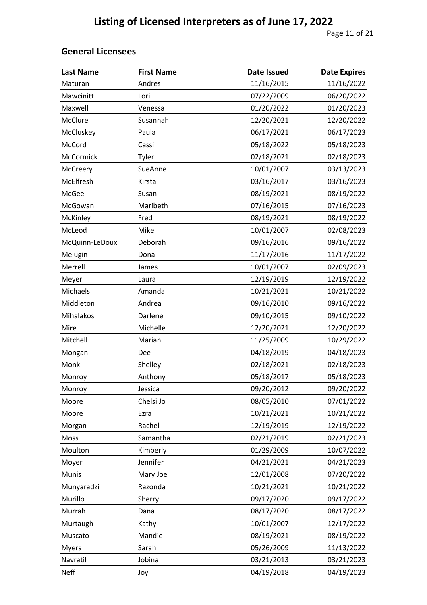| <b>Last Name</b> | <b>First Name</b> | <b>Date Issued</b> | <b>Date Expires</b> |
|------------------|-------------------|--------------------|---------------------|
| Maturan          | Andres            | 11/16/2015         | 11/16/2022          |
| Mawcinitt        | Lori              | 07/22/2009         | 06/20/2022          |
| Maxwell          | Venessa           | 01/20/2022         | 01/20/2023          |
| McClure          | Susannah          | 12/20/2021         | 12/20/2022          |
| McCluskey        | Paula             | 06/17/2021         | 06/17/2023          |
| McCord           | Cassi             | 05/18/2022         | 05/18/2023          |
| McCormick        | Tyler             | 02/18/2021         | 02/18/2023          |
| McCreery         | SueAnne           | 10/01/2007         | 03/13/2023          |
| McElfresh        | Kirsta            | 03/16/2017         | 03/16/2023          |
| McGee            | Susan             | 08/19/2021         | 08/19/2022          |
| McGowan          | Maribeth          | 07/16/2015         | 07/16/2023          |
| McKinley         | Fred              | 08/19/2021         | 08/19/2022          |
| McLeod           | Mike              | 10/01/2007         | 02/08/2023          |
| McQuinn-LeDoux   | Deborah           | 09/16/2016         | 09/16/2022          |
| Melugin          | Dona              | 11/17/2016         | 11/17/2022          |
| Merrell          | James             | 10/01/2007         | 02/09/2023          |
| Meyer            | Laura             | 12/19/2019         | 12/19/2022          |
| Michaels         | Amanda            | 10/21/2021         | 10/21/2022          |
| Middleton        | Andrea            | 09/16/2010         | 09/16/2022          |
| Mihalakos        | Darlene           | 09/10/2015         | 09/10/2022          |
| Mire             | Michelle          | 12/20/2021         | 12/20/2022          |
| Mitchell         | Marian            | 11/25/2009         | 10/29/2022          |
| Mongan           | Dee               | 04/18/2019         | 04/18/2023          |
| Monk             | Shelley           | 02/18/2021         | 02/18/2023          |
| Monroy           | Anthony           | 05/18/2017         | 05/18/2023          |
| Monroy           | Jessica           | 09/20/2012         | 09/20/2022          |
| Moore            | Chelsi Jo         | 08/05/2010         | 07/01/2022          |
| Moore            | Ezra              | 10/21/2021         | 10/21/2022          |
| Morgan           | Rachel            | 12/19/2019         | 12/19/2022          |
| Moss             | Samantha          | 02/21/2019         | 02/21/2023          |
| Moulton          | Kimberly          | 01/29/2009         | 10/07/2022          |
| Moyer            | Jennifer          | 04/21/2021         | 04/21/2023          |
| Munis            | Mary Joe          | 12/01/2008         | 07/20/2022          |
| Munyaradzi       | Razonda           | 10/21/2021         | 10/21/2022          |
| Murillo          | Sherry            | 09/17/2020         | 09/17/2022          |
| Murrah           | Dana              | 08/17/2020         | 08/17/2022          |
| Murtaugh         | Kathy             | 10/01/2007         | 12/17/2022          |
| Muscato          | Mandie            | 08/19/2021         | 08/19/2022          |
| <b>Myers</b>     | Sarah             | 05/26/2009         | 11/13/2022          |
| Navratil         | Jobina            | 03/21/2013         | 03/21/2023          |
| <b>Neff</b>      | Joy               | 04/19/2018         | 04/19/2023          |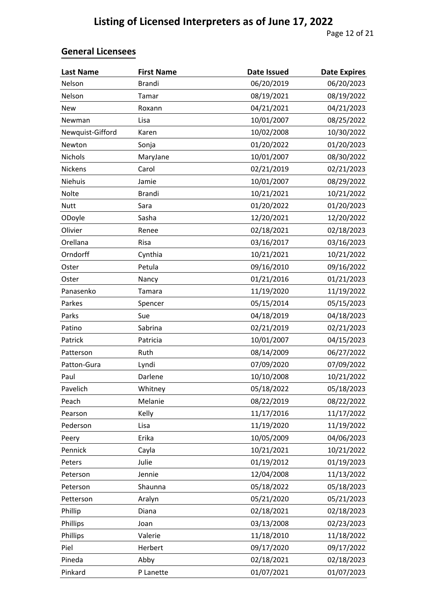| <b>Last Name</b> | <b>First Name</b> | <b>Date Issued</b> | <b>Date Expires</b> |
|------------------|-------------------|--------------------|---------------------|
| Nelson           | <b>Brandi</b>     | 06/20/2019         | 06/20/2023          |
| Nelson           | Tamar             | 08/19/2021         | 08/19/2022          |
| <b>New</b>       | Roxann            | 04/21/2021         | 04/21/2023          |
| Newman           | Lisa              | 10/01/2007         | 08/25/2022          |
| Newquist-Gifford | Karen             | 10/02/2008         | 10/30/2022          |
| Newton           | Sonja             | 01/20/2022         | 01/20/2023          |
| <b>Nichols</b>   | MaryJane          | 10/01/2007         | 08/30/2022          |
| Nickens          | Carol             | 02/21/2019         | 02/21/2023          |
| Niehuis          | Jamie             | 10/01/2007         | 08/29/2022          |
| Nolte            | <b>Brandi</b>     | 10/21/2021         | 10/21/2022          |
| <b>Nutt</b>      | Sara              | 01/20/2022         | 01/20/2023          |
| ODoyle           | Sasha             | 12/20/2021         | 12/20/2022          |
| Olivier          | Renee             | 02/18/2021         | 02/18/2023          |
| Orellana         | Risa              | 03/16/2017         | 03/16/2023          |
| Orndorff         | Cynthia           | 10/21/2021         | 10/21/2022          |
| Oster            | Petula            | 09/16/2010         | 09/16/2022          |
| Oster            | Nancy             | 01/21/2016         | 01/21/2023          |
| Panasenko        | Tamara            | 11/19/2020         | 11/19/2022          |
| Parkes           | Spencer           | 05/15/2014         | 05/15/2023          |
| Parks            | Sue               | 04/18/2019         | 04/18/2023          |
| Patino           | Sabrina           | 02/21/2019         | 02/21/2023          |
| Patrick          | Patricia          | 10/01/2007         | 04/15/2023          |
| Patterson        | Ruth              | 08/14/2009         | 06/27/2022          |
| Patton-Gura      | Lyndi             | 07/09/2020         | 07/09/2022          |
| Paul             | Darlene           | 10/10/2008         | 10/21/2022          |
| Pavelich         | Whitney           | 05/18/2022         | 05/18/2023          |
| Peach            | Melanie           | 08/22/2019         | 08/22/2022          |
| Pearson          | Kelly             | 11/17/2016         | 11/17/2022          |
| Pederson         | Lisa              | 11/19/2020         | 11/19/2022          |
| Peery            | Erika             | 10/05/2009         | 04/06/2023          |
| Pennick          | Cayla             | 10/21/2021         | 10/21/2022          |
| Peters           | Julie             | 01/19/2012         | 01/19/2023          |
| Peterson         | Jennie            | 12/04/2008         | 11/13/2022          |
| Peterson         | Shaunna           | 05/18/2022         | 05/18/2023          |
| Petterson        | Aralyn            | 05/21/2020         | 05/21/2023          |
| Phillip          | Diana             | 02/18/2021         | 02/18/2023          |
| Phillips         | Joan              | 03/13/2008         | 02/23/2023          |
| Phillips         | Valerie           | 11/18/2010         | 11/18/2022          |
| Piel             | Herbert           | 09/17/2020         | 09/17/2022          |
| Pineda           | Abby              | 02/18/2021         | 02/18/2023          |
| Pinkard          | P Lanette         | 01/07/2021         | 01/07/2023          |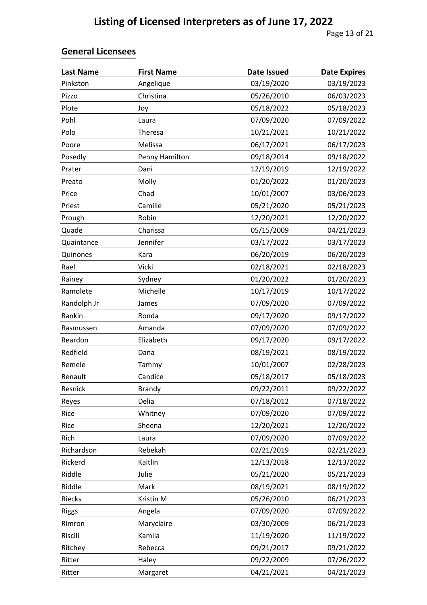| <b>Last Name</b> | <b>First Name</b> | <b>Date Issued</b> | <b>Date Expires</b> |
|------------------|-------------------|--------------------|---------------------|
| Pinkston         | Angelique         | 03/19/2020         | 03/19/2023          |
| Pizzo            | Christina         | 05/26/2010         | 06/03/2023          |
| Plote            | Joy               | 05/18/2022         | 05/18/2023          |
| Pohl             | Laura             | 07/09/2020         | 07/09/2022          |
| Polo             | Theresa           | 10/21/2021         | 10/21/2022          |
| Poore            | Melissa           | 06/17/2021         | 06/17/2023          |
| Posedly          | Penny Hamilton    | 09/18/2014         | 09/18/2022          |
| Prater           | Dani              | 12/19/2019         | 12/19/2022          |
| Preato           | Molly             | 01/20/2022         | 01/20/2023          |
| Price            | Chad              | 10/01/2007         | 03/06/2023          |
| Priest           | Camille           | 05/21/2020         | 05/21/2023          |
| Prough           | Robin             | 12/20/2021         | 12/20/2022          |
| Quade            | Charissa          | 05/15/2009         | 04/21/2023          |
| Quaintance       | Jennifer          | 03/17/2022         | 03/17/2023          |
| Quinones         | Kara              | 06/20/2019         | 06/20/2023          |
| Rael             | Vicki             | 02/18/2021         | 02/18/2023          |
| Rainey           | Sydney            | 01/20/2022         | 01/20/2023          |
| Ramolete         | Michelle          | 10/17/2019         | 10/17/2022          |
| Randolph Jr      | James             | 07/09/2020         | 07/09/2022          |
| Rankin           | Ronda             | 09/17/2020         | 09/17/2022          |
| Rasmussen        | Amanda            | 07/09/2020         | 07/09/2022          |
| Reardon          | Elizabeth         | 09/17/2020         | 09/17/2022          |
| Redfield         | Dana              | 08/19/2021         | 08/19/2022          |
| Remele           | Tammy             | 10/01/2007         | 02/28/2023          |
| Renault          | Candice           | 05/18/2017         | 05/18/2023          |
| Resnick          | <b>Brandy</b>     | 09/22/2011         | 09/22/2022          |
| Reyes            | Delia             | 07/18/2012         | 07/18/2022          |
| Rice             | Whitney           | 07/09/2020         | 07/09/2022          |
| Rice             | Sheena            | 12/20/2021         | 12/20/2022          |
| Rich             | Laura             | 07/09/2020         | 07/09/2022          |
| Richardson       | Rebekah           | 02/21/2019         | 02/21/2023          |
| Rickerd          | Kaitlin           | 12/13/2018         | 12/13/2022          |
| Riddle           | Julie             | 05/21/2020         | 05/21/2023          |
| Riddle           | Mark              | 08/19/2021         | 08/19/2022          |
| Riecks           | Kristin M         | 05/26/2010         | 06/21/2023          |
| <b>Riggs</b>     | Angela            | 07/09/2020         | 07/09/2022          |
| Rimron           | Maryclaire        | 03/30/2009         | 06/21/2023          |
| Riscili          | Kamila            | 11/19/2020         | 11/19/2022          |
| Ritchey          | Rebecca           | 09/21/2017         | 09/21/2022          |
| Ritter           | Haley             | 09/22/2009         | 07/26/2022          |
| Ritter           | Margaret          | 04/21/2021         | 04/21/2023          |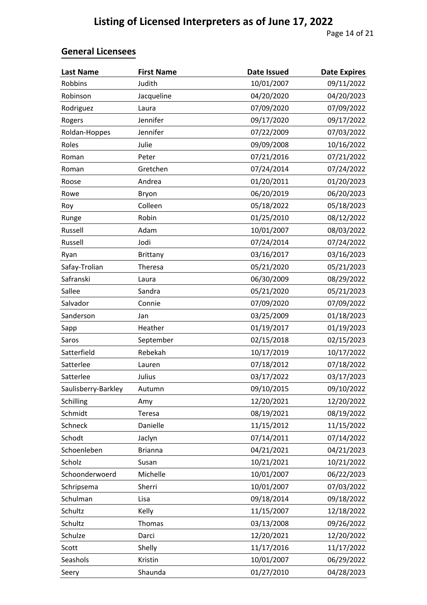| <b>Last Name</b>    | <b>First Name</b> | <b>Date Issued</b> | <b>Date Expires</b> |
|---------------------|-------------------|--------------------|---------------------|
| Robbins             | Judith            | 10/01/2007         | 09/11/2022          |
| Robinson            | Jacqueline        | 04/20/2020         | 04/20/2023          |
| Rodriguez           | Laura             | 07/09/2020         | 07/09/2022          |
| Rogers              | Jennifer          | 09/17/2020         | 09/17/2022          |
| Roldan-Hoppes       | Jennifer          | 07/22/2009         | 07/03/2022          |
| Roles               | Julie             | 09/09/2008         | 10/16/2022          |
| Roman               | Peter             | 07/21/2016         | 07/21/2022          |
| Roman               | Gretchen          | 07/24/2014         | 07/24/2022          |
| Roose               | Andrea            | 01/20/2011         | 01/20/2023          |
| Rowe                | Bryon             | 06/20/2019         | 06/20/2023          |
| Roy                 | Colleen           | 05/18/2022         | 05/18/2023          |
| Runge               | Robin             | 01/25/2010         | 08/12/2022          |
| Russell             | Adam              | 10/01/2007         | 08/03/2022          |
| Russell             | Jodi              | 07/24/2014         | 07/24/2022          |
| Ryan                | <b>Brittany</b>   | 03/16/2017         | 03/16/2023          |
| Safay-Trolian       | Theresa           | 05/21/2020         | 05/21/2023          |
| Safranski           | Laura             | 06/30/2009         | 08/29/2022          |
| Sallee              | Sandra            | 05/21/2020         | 05/21/2023          |
| Salvador            | Connie            | 07/09/2020         | 07/09/2022          |
| Sanderson           | Jan               | 03/25/2009         | 01/18/2023          |
| Sapp                | Heather           | 01/19/2017         | 01/19/2023          |
| Saros               | September         | 02/15/2018         | 02/15/2023          |
| Satterfield         | Rebekah           | 10/17/2019         | 10/17/2022          |
| Satterlee           | Lauren            | 07/18/2012         | 07/18/2022          |
| Satterlee           | Julius            | 03/17/2022         | 03/17/2023          |
| Saulisberry-Barkley | Autumn            | 09/10/2015         | 09/10/2022          |
| Schilling           | Amy               | 12/20/2021         | 12/20/2022          |
| Schmidt             | Teresa            | 08/19/2021         | 08/19/2022          |
| Schneck             | Danielle          | 11/15/2012         | 11/15/2022          |
| Schodt              | Jaclyn            | 07/14/2011         | 07/14/2022          |
| Schoenleben         | <b>Brianna</b>    | 04/21/2021         | 04/21/2023          |
| Scholz              | Susan             | 10/21/2021         | 10/21/2022          |
| Schoonderwoerd      | Michelle          | 10/01/2007         | 06/22/2023          |
| Schripsema          | Sherri            | 10/01/2007         | 07/03/2022          |
| Schulman            | Lisa              | 09/18/2014         | 09/18/2022          |
| Schultz             | Kelly             | 11/15/2007         | 12/18/2022          |
| Schultz             | Thomas            | 03/13/2008         | 09/26/2022          |
| Schulze             | Darci             | 12/20/2021         | 12/20/2022          |
| Scott               | Shelly            | 11/17/2016         | 11/17/2022          |
| Seashols            | Kristin           | 10/01/2007         | 06/29/2022          |
| Seery               | Shaunda           | 01/27/2010         | 04/28/2023          |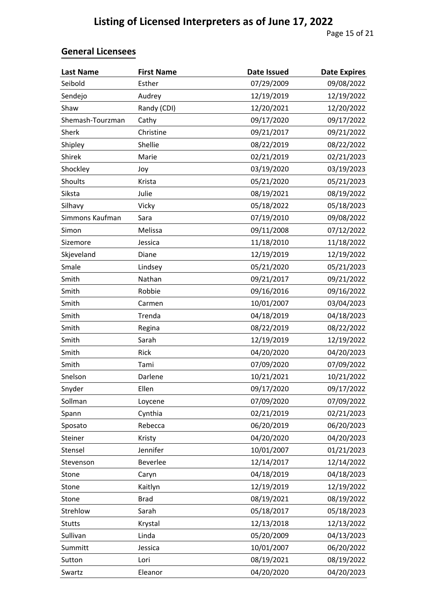| <b>Last Name</b> | <b>First Name</b> | <b>Date Issued</b> | <b>Date Expires</b> |
|------------------|-------------------|--------------------|---------------------|
| Seibold          | Esther            | 07/29/2009         | 09/08/2022          |
| Sendejo          | Audrey            | 12/19/2019         | 12/19/2022          |
| Shaw             | Randy (CDI)       | 12/20/2021         | 12/20/2022          |
| Shemash-Tourzman | Cathy             | 09/17/2020         | 09/17/2022          |
| Sherk            | Christine         | 09/21/2017         | 09/21/2022          |
| Shipley          | Shellie           | 08/22/2019         | 08/22/2022          |
| Shirek           | Marie             | 02/21/2019         | 02/21/2023          |
| Shockley         | Joy               | 03/19/2020         | 03/19/2023          |
| Shoults          | Krista            | 05/21/2020         | 05/21/2023          |
| Siksta           | Julie             | 08/19/2021         | 08/19/2022          |
| Silhavy          | Vicky             | 05/18/2022         | 05/18/2023          |
| Simmons Kaufman  | Sara              | 07/19/2010         | 09/08/2022          |
| Simon            | Melissa           | 09/11/2008         | 07/12/2022          |
| Sizemore         | Jessica           | 11/18/2010         | 11/18/2022          |
| Skjeveland       | Diane             | 12/19/2019         | 12/19/2022          |
| Smale            | Lindsey           | 05/21/2020         | 05/21/2023          |
| Smith            | Nathan            | 09/21/2017         | 09/21/2022          |
| Smith            | Robbie            | 09/16/2016         | 09/16/2022          |
| Smith            | Carmen            | 10/01/2007         | 03/04/2023          |
| Smith            | Trenda            | 04/18/2019         | 04/18/2023          |
| Smith            | Regina            | 08/22/2019         | 08/22/2022          |
| Smith            | Sarah             | 12/19/2019         | 12/19/2022          |
| Smith            | Rick              | 04/20/2020         | 04/20/2023          |
| Smith            | Tami              | 07/09/2020         | 07/09/2022          |
| Snelson          | Darlene           | 10/21/2021         | 10/21/2022          |
| Snyder           | Ellen             | 09/17/2020         | 09/17/2022          |
| Sollman          | Loycene           | 07/09/2020         | 07/09/2022          |
| Spann            | Cynthia           | 02/21/2019         | 02/21/2023          |
| Sposato          | Rebecca           | 06/20/2019         | 06/20/2023          |
| Steiner          | Kristy            | 04/20/2020         | 04/20/2023          |
| Stensel          | Jennifer          | 10/01/2007         | 01/21/2023          |
| Stevenson        | Beverlee          | 12/14/2017         | 12/14/2022          |
| Stone            | Caryn             | 04/18/2019         | 04/18/2023          |
| Stone            | Kaitlyn           | 12/19/2019         | 12/19/2022          |
| Stone            | <b>Brad</b>       | 08/19/2021         | 08/19/2022          |
| Strehlow         | Sarah             | 05/18/2017         | 05/18/2023          |
| <b>Stutts</b>    | Krystal           | 12/13/2018         | 12/13/2022          |
| Sullivan         | Linda             | 05/20/2009         | 04/13/2023          |
| Summitt          | Jessica           | 10/01/2007         | 06/20/2022          |
| Sutton           | Lori              | 08/19/2021         | 08/19/2022          |
| Swartz           | Eleanor           | 04/20/2020         | 04/20/2023          |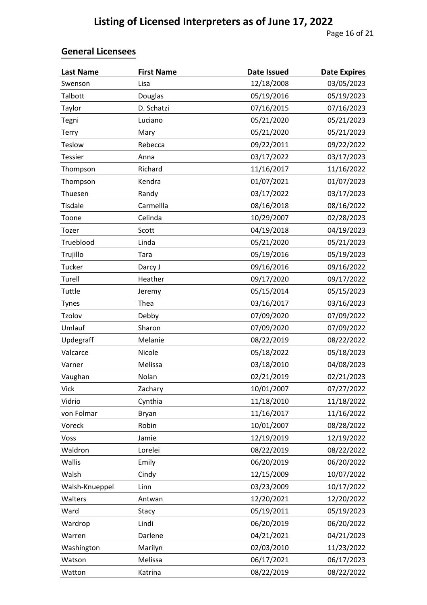| <b>Last Name</b> | <b>First Name</b> | <b>Date Issued</b> | <b>Date Expires</b> |
|------------------|-------------------|--------------------|---------------------|
| Swenson          | Lisa              | 12/18/2008         | 03/05/2023          |
| Talbott          | Douglas           | 05/19/2016         | 05/19/2023          |
| Taylor           | D. Schatzi        | 07/16/2015         | 07/16/2023          |
| Tegni            | Luciano           | 05/21/2020         | 05/21/2023          |
| Terry            | Mary              | 05/21/2020         | 05/21/2023          |
| Teslow           | Rebecca           | 09/22/2011         | 09/22/2022          |
| <b>Tessier</b>   | Anna              | 03/17/2022         | 03/17/2023          |
| Thompson         | Richard           | 11/16/2017         | 11/16/2022          |
| Thompson         | Kendra            | 01/07/2021         | 01/07/2023          |
| Thuesen          | Randy             | 03/17/2022         | 03/17/2023          |
| Tisdale          | Carmellla         | 08/16/2018         | 08/16/2022          |
| Toone            | Celinda           | 10/29/2007         | 02/28/2023          |
| Tozer            | Scott             | 04/19/2018         | 04/19/2023          |
| Trueblood        | Linda             | 05/21/2020         | 05/21/2023          |
| Trujillo         | Tara              | 05/19/2016         | 05/19/2023          |
| Tucker           | Darcy J           | 09/16/2016         | 09/16/2022          |
| Turell           | Heather           | 09/17/2020         | 09/17/2022          |
| Tuttle           | Jeremy            | 05/15/2014         | 05/15/2023          |
| <b>Tynes</b>     | Thea              | 03/16/2017         | 03/16/2023          |
| Tzolov           | Debby             | 07/09/2020         | 07/09/2022          |
| Umlauf           | Sharon            | 07/09/2020         | 07/09/2022          |
| Updegraff        | Melanie           | 08/22/2019         | 08/22/2022          |
| Valcarce         | Nicole            | 05/18/2022         | 05/18/2023          |
| Varner           | Melissa           | 03/18/2010         | 04/08/2023          |
| Vaughan          | Nolan             | 02/21/2019         | 02/21/2023          |
| Vick             | Zachary           | 10/01/2007         | 07/27/2022          |
| Vidrio           | Cynthia           | 11/18/2010         | 11/18/2022          |
| von Folmar       | <b>Bryan</b>      | 11/16/2017         | 11/16/2022          |
| Voreck           | Robin             | 10/01/2007         | 08/28/2022          |
| Voss             | Jamie             | 12/19/2019         | 12/19/2022          |
| Waldron          | Lorelei           | 08/22/2019         | 08/22/2022          |
| Wallis           | Emily             | 06/20/2019         | 06/20/2022          |
| Walsh            | Cindy             | 12/15/2009         | 10/07/2022          |
| Walsh-Knueppel   | Linn              | 03/23/2009         | 10/17/2022          |
| Walters          | Antwan            | 12/20/2021         | 12/20/2022          |
| Ward             | Stacy             | 05/19/2011         | 05/19/2023          |
| Wardrop          | Lindi             | 06/20/2019         | 06/20/2022          |
| Warren           | Darlene           | 04/21/2021         | 04/21/2023          |
| Washington       | Marilyn           | 02/03/2010         | 11/23/2022          |
| Watson           | Melissa           | 06/17/2021         | 06/17/2023          |
| Watton           | Katrina           | 08/22/2019         | 08/22/2022          |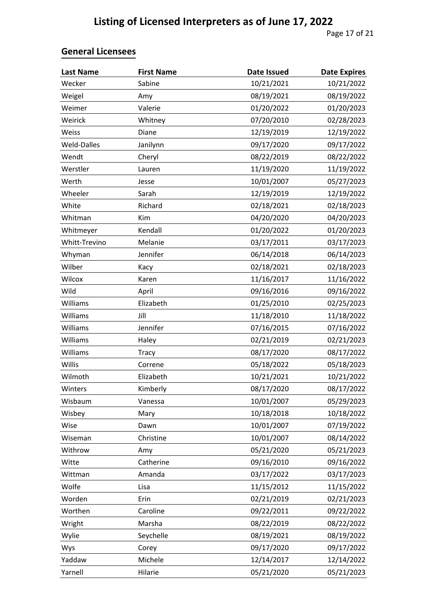| <b>Last Name</b> | <b>First Name</b> | <b>Date Issued</b> | <b>Date Expires</b> |
|------------------|-------------------|--------------------|---------------------|
| Wecker           | Sabine            | 10/21/2021         | 10/21/2022          |
| Weigel           | Amy               | 08/19/2021         | 08/19/2022          |
| Weimer           | Valerie           | 01/20/2022         | 01/20/2023          |
| Weirick          | Whitney           | 07/20/2010         | 02/28/2023          |
| Weiss            | Diane             | 12/19/2019         | 12/19/2022          |
| Weld-Dalles      | Janilynn          | 09/17/2020         | 09/17/2022          |
| Wendt            | Cheryl            | 08/22/2019         | 08/22/2022          |
| Werstler         | Lauren            | 11/19/2020         | 11/19/2022          |
| Werth            | Jesse             | 10/01/2007         | 05/27/2023          |
| Wheeler          | Sarah             | 12/19/2019         | 12/19/2022          |
| White            | Richard           | 02/18/2021         | 02/18/2023          |
| Whitman          | Kim               | 04/20/2020         | 04/20/2023          |
| Whitmeyer        | Kendall           | 01/20/2022         | 01/20/2023          |
| Whitt-Trevino    | Melanie           | 03/17/2011         | 03/17/2023          |
| Whyman           | Jennifer          | 06/14/2018         | 06/14/2023          |
| Wilber           | Kacy              | 02/18/2021         | 02/18/2023          |
| Wilcox           | Karen             | 11/16/2017         | 11/16/2022          |
| Wild             | April             | 09/16/2016         | 09/16/2022          |
| Williams         | Elizabeth         | 01/25/2010         | 02/25/2023          |
| Williams         | Jill              | 11/18/2010         | 11/18/2022          |
| Williams         | Jennifer          | 07/16/2015         | 07/16/2022          |
| Williams         | Haley             | 02/21/2019         | 02/21/2023          |
| Williams         | Tracy             | 08/17/2020         | 08/17/2022          |
| Willis           | Correne           | 05/18/2022         | 05/18/2023          |
| Wilmoth          | Elizabeth         | 10/21/2021         | 10/21/2022          |
| Winters          | Kimberly          | 08/17/2020         | 08/17/2022          |
| Wisbaum          | Vanessa           | 10/01/2007         | 05/29/2023          |
| Wisbey           | Mary              | 10/18/2018         | 10/18/2022          |
| Wise             | Dawn              | 10/01/2007         | 07/19/2022          |
| Wiseman          | Christine         | 10/01/2007         | 08/14/2022          |
| Withrow          | Amy               | 05/21/2020         | 05/21/2023          |
| Witte            | Catherine         | 09/16/2010         | 09/16/2022          |
| Wittman          | Amanda            | 03/17/2022         | 03/17/2023          |
| Wolfe            | Lisa              | 11/15/2012         | 11/15/2022          |
| Worden           | Erin              | 02/21/2019         | 02/21/2023          |
| Worthen          | Caroline          | 09/22/2011         | 09/22/2022          |
| Wright           | Marsha            | 08/22/2019         | 08/22/2022          |
| Wylie            | Seychelle         | 08/19/2021         | 08/19/2022          |
| Wys              | Corey             | 09/17/2020         | 09/17/2022          |
| Yaddaw           | Michele           | 12/14/2017         | 12/14/2022          |
| Yarnell          | Hilarie           | 05/21/2020         | 05/21/2023          |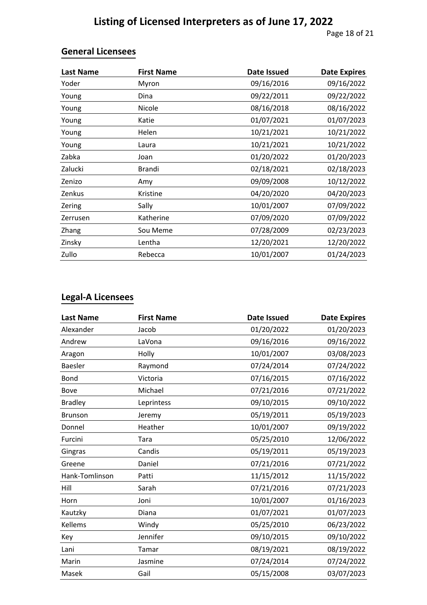Page 18 of 21

#### **General Licensees**

| <b>Last Name</b> | <b>First Name</b> | <b>Date Issued</b> | <b>Date Expires</b> |
|------------------|-------------------|--------------------|---------------------|
| Yoder            | Myron             | 09/16/2016         | 09/16/2022          |
| Young            | Dina              | 09/22/2011         | 09/22/2022          |
| Young            | <b>Nicole</b>     | 08/16/2018         | 08/16/2022          |
| Young            | Katie             | 01/07/2021         | 01/07/2023          |
| Young            | Helen             | 10/21/2021         | 10/21/2022          |
| Young            | Laura             | 10/21/2021         | 10/21/2022          |
| Zabka            | Joan              | 01/20/2022         | 01/20/2023          |
| Zalucki          | Brandi            | 02/18/2021         | 02/18/2023          |
| Zenizo           | Amy               | 09/09/2008         | 10/12/2022          |
| Zenkus           | Kristine          | 04/20/2020         | 04/20/2023          |
| Zering           | Sally             | 10/01/2007         | 07/09/2022          |
| Zerrusen         | Katherine         | 07/09/2020         | 07/09/2022          |
| Zhang            | Sou Meme          | 07/28/2009         | 02/23/2023          |
| Zinsky           | Lentha            | 12/20/2021         | 12/20/2022          |
| Zullo            | Rebecca           | 10/01/2007         | 01/24/2023          |

## **Legal-A Licensees**

| <b>Last Name</b> | <b>First Name</b> | <b>Date Issued</b> | <b>Date Expires</b> |
|------------------|-------------------|--------------------|---------------------|
| Alexander        | Jacob             | 01/20/2022         | 01/20/2023          |
| Andrew           | LaVona            | 09/16/2016         | 09/16/2022          |
| Aragon           | Holly             | 10/01/2007         | 03/08/2023          |
| <b>Baesler</b>   | Raymond           | 07/24/2014         | 07/24/2022          |
| Bond             | Victoria          | 07/16/2015         | 07/16/2022          |
| Bove             | Michael           | 07/21/2016         | 07/21/2022          |
| <b>Bradley</b>   | Leprintess        | 09/10/2015         | 09/10/2022          |
| <b>Brunson</b>   | Jeremy            | 05/19/2011         | 05/19/2023          |
| Donnel           | Heather           | 10/01/2007         | 09/19/2022          |
| Furcini          | Tara              | 05/25/2010         | 12/06/2022          |
| Gingras          | Candis            | 05/19/2011         | 05/19/2023          |
| Greene           | Daniel            | 07/21/2016         | 07/21/2022          |
| Hank-Tomlinson   | Patti             | 11/15/2012         | 11/15/2022          |
| Hill             | Sarah             | 07/21/2016         | 07/21/2023          |
| Horn             | Joni              | 10/01/2007         | 01/16/2023          |
| Kautzky          | Diana             | 01/07/2021         | 01/07/2023          |
| Kellems          | Windy             | 05/25/2010         | 06/23/2022          |
| Key              | Jennifer          | 09/10/2015         | 09/10/2022          |
| Lani             | Tamar             | 08/19/2021         | 08/19/2022          |
| Marin            | Jasmine           | 07/24/2014         | 07/24/2022          |
| Masek            | Gail              | 05/15/2008         | 03/07/2023          |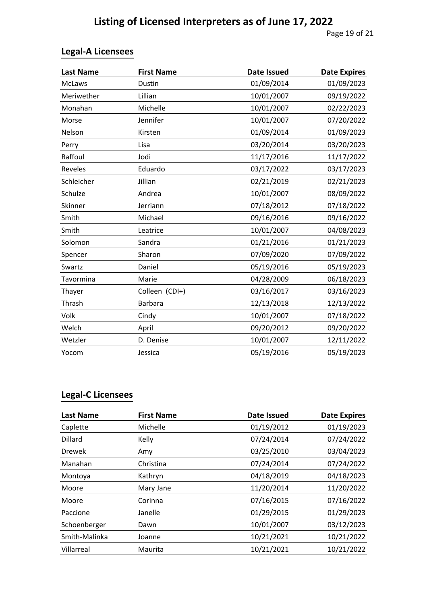Page 19 of 21

## **Legal-A Licensees**

| <b>Last Name</b> | <b>First Name</b> | <b>Date Issued</b> | <b>Date Expires</b> |
|------------------|-------------------|--------------------|---------------------|
| <b>McLaws</b>    | Dustin            | 01/09/2014         | 01/09/2023          |
| Meriwether       | Lillian           | 10/01/2007         | 09/19/2022          |
| Monahan          | Michelle          | 10/01/2007         | 02/22/2023          |
| Morse            | Jennifer          | 10/01/2007         | 07/20/2022          |
| Nelson           | Kirsten           | 01/09/2014         | 01/09/2023          |
| Perry            | Lisa              | 03/20/2014         | 03/20/2023          |
| Raffoul          | Jodi              | 11/17/2016         | 11/17/2022          |
| Reveles          | Eduardo           | 03/17/2022         | 03/17/2023          |
| Schleicher       | Jillian           | 02/21/2019         | 02/21/2023          |
| Schulze          | Andrea            | 10/01/2007         | 08/09/2022          |
| Skinner          | Jerriann          | 07/18/2012         | 07/18/2022          |
| Smith            | Michael           | 09/16/2016         | 09/16/2022          |
| Smith            | Leatrice          | 10/01/2007         | 04/08/2023          |
| Solomon          | Sandra            | 01/21/2016         | 01/21/2023          |
| Spencer          | Sharon            | 07/09/2020         | 07/09/2022          |
| Swartz           | Daniel            | 05/19/2016         | 05/19/2023          |
| Tavormina        | Marie             | 04/28/2009         | 06/18/2023          |
| Thayer           | Colleen (CDI+)    | 03/16/2017         | 03/16/2023          |
| Thrash           | <b>Barbara</b>    | 12/13/2018         | 12/13/2022          |
| Volk             | Cindy             | 10/01/2007         | 07/18/2022          |
| Welch            | April             | 09/20/2012         | 09/20/2022          |
| Wetzler          | D. Denise         | 10/01/2007         | 12/11/2022          |
| Yocom            | Jessica           | 05/19/2016         | 05/19/2023          |

## **Legal-C Licensees**

| <b>Last Name</b> | <b>First Name</b> | <b>Date Issued</b> | <b>Date Expires</b> |
|------------------|-------------------|--------------------|---------------------|
| Caplette         | Michelle          | 01/19/2012         | 01/19/2023          |
| Dillard          | Kelly             | 07/24/2014         | 07/24/2022          |
| <b>Drewek</b>    | Amy               | 03/25/2010         | 03/04/2023          |
| Manahan          | Christina         | 07/24/2014         | 07/24/2022          |
| Montoya          | Kathryn           | 04/18/2019         | 04/18/2023          |
| Moore            | Mary Jane         | 11/20/2014         | 11/20/2022          |
| Moore            | Corinna           | 07/16/2015         | 07/16/2022          |
| Paccione         | Janelle           | 01/29/2015         | 01/29/2023          |
| Schoenberger     | Dawn              | 10/01/2007         | 03/12/2023          |
| Smith-Malinka    | Joanne            | 10/21/2021         | 10/21/2022          |
| Villarreal       | Maurita           | 10/21/2021         | 10/21/2022          |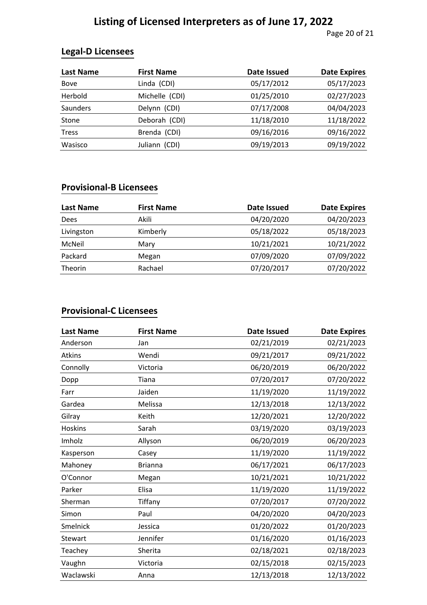# **Listing of Licensed Interpreters as of June 17, 2022**

Page 20 of 21

#### **Legal-D Licensees**

| Last Name    | <b>First Name</b> | <b>Date Issued</b> | <b>Date Expires</b> |
|--------------|-------------------|--------------------|---------------------|
| <b>Bove</b>  | Linda (CDI)       | 05/17/2012         | 05/17/2023          |
| Herbold      | Michelle (CDI)    | 01/25/2010         | 02/27/2023          |
| Saunders     | Delynn (CDI)      | 07/17/2008         | 04/04/2023          |
| Stone        | Deborah (CDI)     | 11/18/2010         | 11/18/2022          |
| <b>Tress</b> | Brenda (CDI)      | 09/16/2016         | 09/16/2022          |
| Wasisco      | Juliann (CDI)     | 09/19/2013         | 09/19/2022          |

#### **Provisional-B Licensees**

| Last Name      | <b>First Name</b> | Date Issued | <b>Date Expires</b> |
|----------------|-------------------|-------------|---------------------|
| Dees           | Akili             | 04/20/2020  | 04/20/2023          |
| Livingston     | Kimberly          | 05/18/2022  | 05/18/2023          |
| McNeil         | Mary              | 10/21/2021  | 10/21/2022          |
| Packard        | Megan             | 07/09/2020  | 07/09/2022          |
| <b>Theorin</b> | Rachael           | 07/20/2017  | 07/20/2022          |

#### **Provisional-C Licensees**

| <b>Last Name</b> | <b>First Name</b> | <b>Date Issued</b> | <b>Date Expires</b> |
|------------------|-------------------|--------------------|---------------------|
| Anderson         | Jan               | 02/21/2019         | 02/21/2023          |
| Atkins           | Wendi             | 09/21/2017         | 09/21/2022          |
| Connolly         | Victoria          | 06/20/2019         | 06/20/2022          |
| Dopp             | Tiana             | 07/20/2017         | 07/20/2022          |
| Farr             | Jaiden            | 11/19/2020         | 11/19/2022          |
| Gardea           | Melissa           | 12/13/2018         | 12/13/2022          |
| Gilray           | Keith             | 12/20/2021         | 12/20/2022          |
| <b>Hoskins</b>   | Sarah             | 03/19/2020         | 03/19/2023          |
| Imholz           | Allyson           | 06/20/2019         | 06/20/2023          |
| Kasperson        | Casey             | 11/19/2020         | 11/19/2022          |
| Mahoney          | <b>Brianna</b>    | 06/17/2021         | 06/17/2023          |
| O'Connor         | Megan             | 10/21/2021         | 10/21/2022          |
| Parker           | Elisa             | 11/19/2020         | 11/19/2022          |
| Sherman          | Tiffany           | 07/20/2017         | 07/20/2022          |
| Simon            | Paul              | 04/20/2020         | 04/20/2023          |
| Smelnick         | Jessica           | 01/20/2022         | 01/20/2023          |
| Stewart          | Jennifer          | 01/16/2020         | 01/16/2023          |
| Teachey          | Sherita           | 02/18/2021         | 02/18/2023          |
| Vaughn           | Victoria          | 02/15/2018         | 02/15/2023          |
| Waclawski        | Anna              | 12/13/2018         | 12/13/2022          |